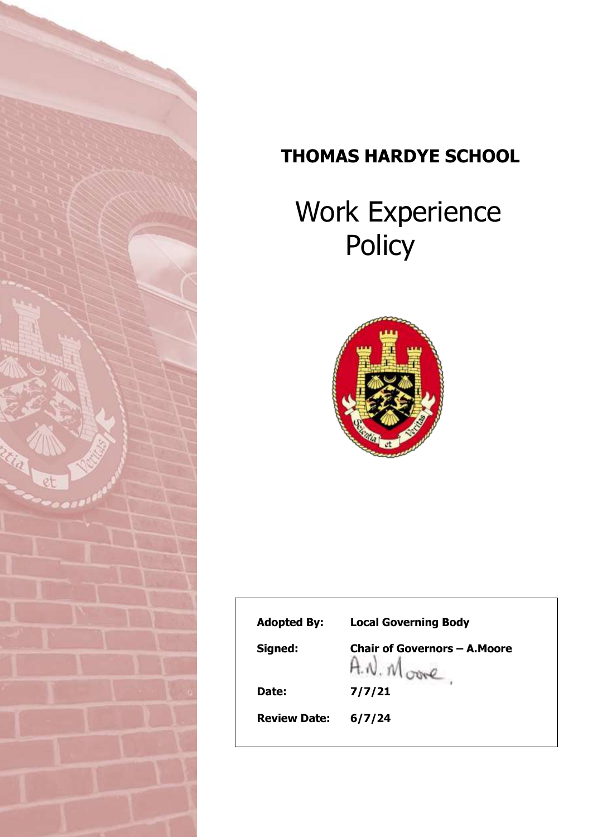

# **THOMAS HARDYE SCHOOL**

# Work Experience **Policy**



| <b>Adopted By:</b>  | <b>Local Governing Body</b>          |
|---------------------|--------------------------------------|
| Signed:             | <b>Chair of Governors - A. Moore</b> |
| Date:               | 7/7/21                               |
| <b>Review Date:</b> | 6/7/24                               |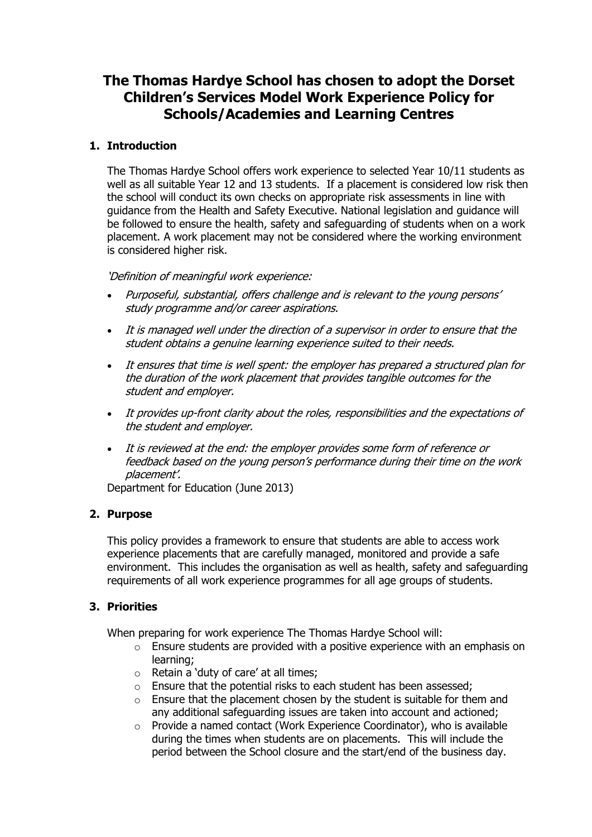# **The Thomas Hardye School has chosen to adopt the Dorset Children's Services Model Work Experience Policy for Schools/Academies and Learning Centres**

#### **1. Introduction**

The Thomas Hardye School offers work experience to selected Year 10/11 students as well as all suitable Year 12 and 13 students. If a placement is considered low risk then the school will conduct its own checks on appropriate risk assessments in line with guidance from the Health and Safety Executive. National legislation and guidance will be followed to ensure the health, safety and safeguarding of students when on a work placement. A work placement may not be considered where the working environment is considered higher risk.

#### 'Definition of meaningful work experience:

- Purposeful, substantial, offers challenge and is relevant to the young persons' study programme and/or career aspirations.
- It is managed well under the direction of a supervisor in order to ensure that the student obtains a genuine learning experience suited to their needs.
- It ensures that time is well spent: the employer has prepared a structured plan for the duration of the work placement that provides tangible outcomes for the student and employer.
- It provides up-front clarity about the roles, responsibilities and the expectations of the student and employer.
- It is reviewed at the end: the employer provides some form of reference or feedback based on the young person's performance during their time on the work placement'.

Department for Education (June 2013)

#### **2. Purpose**

This policy provides a framework to ensure that students are able to access work experience placements that are carefully managed, monitored and provide a safe environment. This includes the organisation as well as health, safety and safeguarding requirements of all work experience programmes for all age groups of students.

#### **3. Priorities**

When preparing for work experience The Thomas Hardye School will:

- o Ensure students are provided with a positive experience with an emphasis on learning;
- $\circ$  Retain a 'duty of care' at all times;
- o Ensure that the potential risks to each student has been assessed;
- $\circ$  Ensure that the placement chosen by the student is suitable for them and any additional safeguarding issues are taken into account and actioned;
- $\circ$  Provide a named contact (Work Experience Coordinator), who is available during the times when students are on placements. This will include the period between the School closure and the start/end of the business day.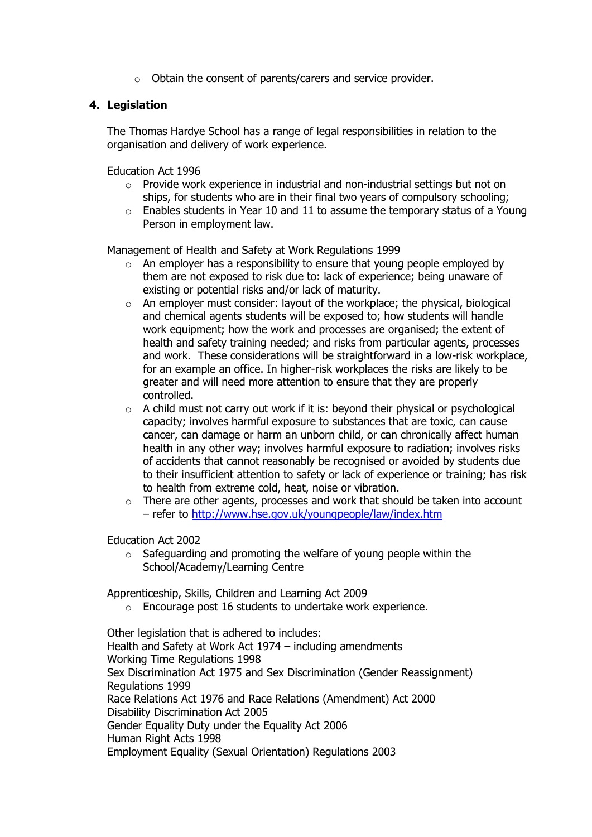o Obtain the consent of parents/carers and service provider.

#### **4. Legislation**

The Thomas Hardye School has a range of legal responsibilities in relation to the organisation and delivery of work experience.

Education Act 1996

- $\circ$  Provide work experience in industrial and non-industrial settings but not on ships, for students who are in their final two years of compulsory schooling;
- $\circ$  Enables students in Year 10 and 11 to assume the temporary status of a Young Person in employment law.

Management of Health and Safety at Work Regulations 1999

- $\circ$  An employer has a responsibility to ensure that young people employed by them are not exposed to risk due to: lack of experience; being unaware of existing or potential risks and/or lack of maturity.
- o An employer must consider: layout of the workplace; the physical, biological and chemical agents students will be exposed to; how students will handle work equipment; how the work and processes are organised; the extent of health and safety training needed; and risks from particular agents, processes and work. These considerations will be straightforward in a low-risk workplace, for an example an office. In higher-risk workplaces the risks are likely to be greater and will need more attention to ensure that they are properly controlled.
- $\circ$  A child must not carry out work if it is: beyond their physical or psychological capacity; involves harmful exposure to substances that are toxic, can cause cancer, can damage or harm an unborn child, or can chronically affect human health in any other way; involves harmful exposure to radiation; involves risks of accidents that cannot reasonably be recognised or avoided by students due to their insufficient attention to safety or lack of experience or training; has risk to health from extreme cold, heat, noise or vibration.
- o There are other agents, processes and work that should be taken into account – refer to<http://www.hse.gov.uk/youngpeople/law/index.htm>

Education Act 2002

 $\circ$  Safeguarding and promoting the welfare of young people within the School/Academy/Learning Centre

Apprenticeship, Skills, Children and Learning Act 2009

o Encourage post 16 students to undertake work experience.

Other legislation that is adhered to includes: Health and Safety at Work Act 1974 – including amendments Working Time Regulations 1998 Sex Discrimination Act 1975 and Sex Discrimination (Gender Reassignment) Regulations 1999 Race Relations Act 1976 and Race Relations (Amendment) Act 2000 Disability Discrimination Act 2005 Gender Equality Duty under the Equality Act 2006 Human Right Acts 1998 Employment Equality (Sexual Orientation) Regulations 2003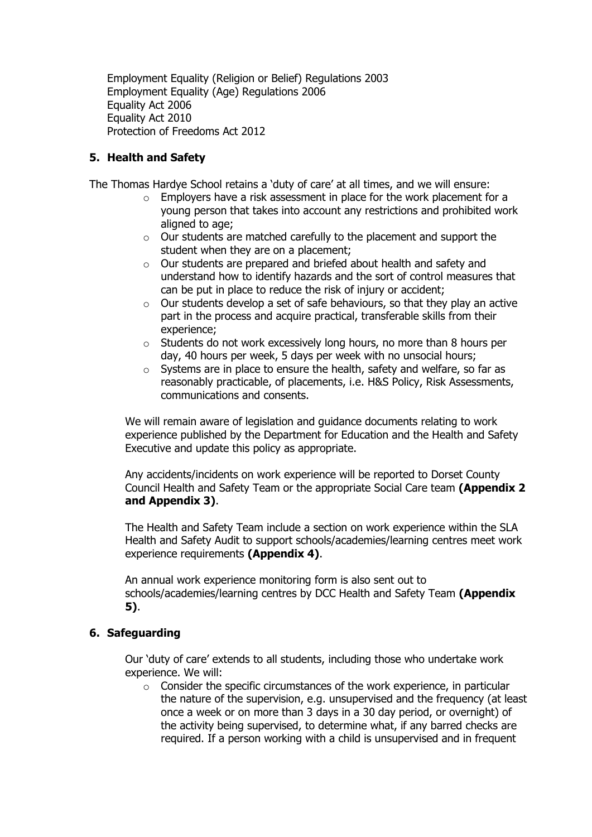Employment Equality (Religion or Belief) Regulations 2003 Employment Equality (Age) Regulations 2006 Equality Act 2006 Equality Act 2010 Protection of Freedoms Act 2012

#### **5. Health and Safety**

The Thomas Hardye School retains a 'duty of care' at all times, and we will ensure:

- o Employers have a risk assessment in place for the work placement for a young person that takes into account any restrictions and prohibited work aligned to age;
- o Our students are matched carefully to the placement and support the student when they are on a placement;
- o Our students are prepared and briefed about health and safety and understand how to identify hazards and the sort of control measures that can be put in place to reduce the risk of injury or accident;
- o Our students develop a set of safe behaviours, so that they play an active part in the process and acquire practical, transferable skills from their experience;
- o Students do not work excessively long hours, no more than 8 hours per day, 40 hours per week, 5 days per week with no unsocial hours;
- o Systems are in place to ensure the health, safety and welfare, so far as reasonably practicable, of placements, i.e. H&S Policy, Risk Assessments, communications and consents.

We will remain aware of legislation and guidance documents relating to work experience published by the Department for Education and the Health and Safety Executive and update this policy as appropriate.

Any accidents/incidents on work experience will be reported to Dorset County Council Health and Safety Team or the appropriate Social Care team **(Appendix 2 and Appendix 3)**.

The Health and Safety Team include a section on work experience within the SLA Health and Safety Audit to support schools/academies/learning centres meet work experience requirements **(Appendix 4)**.

An annual work experience monitoring form is also sent out to schools/academies/learning centres by DCC Health and Safety Team **(Appendix 5)**.

#### **6. Safeguarding**

Our 'duty of care' extends to all students, including those who undertake work experience. We will:

o Consider the specific circumstances of the work experience, in particular the nature of the supervision, e.g. unsupervised and the frequency (at least once a week or on more than 3 days in a 30 day period, or overnight) of the activity being supervised, to determine what, if any barred checks are required. If a person working with a child is unsupervised and in frequent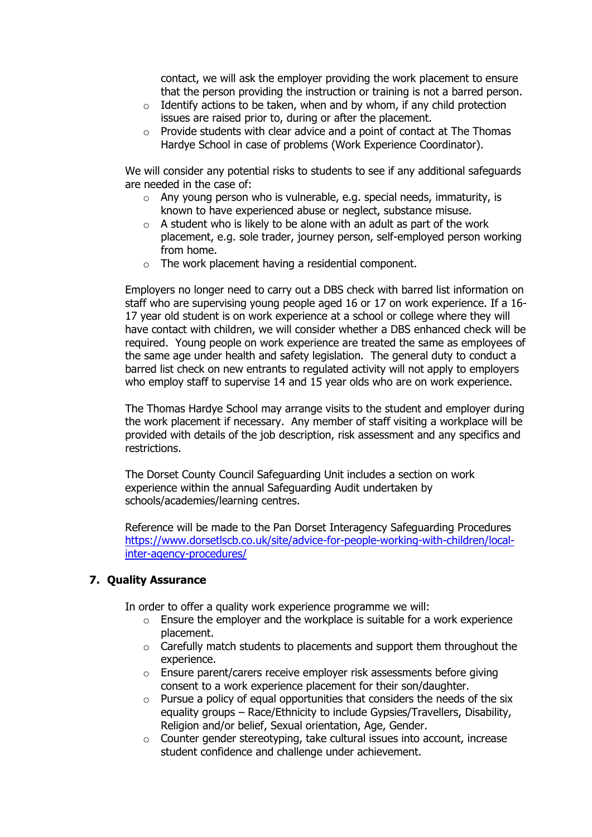contact, we will ask the employer providing the work placement to ensure that the person providing the instruction or training is not a barred person.

- $\circ$  Identify actions to be taken, when and by whom, if any child protection issues are raised prior to, during or after the placement.
- o Provide students with clear advice and a point of contact at The Thomas Hardye School in case of problems (Work Experience Coordinator).

We will consider any potential risks to students to see if any additional safeguards are needed in the case of:

- o Any young person who is vulnerable, e.g. special needs, immaturity, is known to have experienced abuse or neglect, substance misuse.
- $\circ$  A student who is likely to be alone with an adult as part of the work placement, e.g. sole trader, journey person, self-employed person working from home.
- o The work placement having a residential component.

Employers no longer need to carry out a DBS check with barred list information on staff who are supervising young people aged 16 or 17 on work experience. If a 16- 17 year old student is on work experience at a school or college where they will have contact with children, we will consider whether a DBS enhanced check will be required. Young people on work experience are treated the same as employees of the same age under health and safety legislation. The general duty to conduct a barred list check on new entrants to regulated activity will not apply to employers who employ staff to supervise 14 and 15 year olds who are on work experience.

The Thomas Hardye School may arrange visits to the student and employer during the work placement if necessary. Any member of staff visiting a workplace will be provided with details of the job description, risk assessment and any specifics and restrictions.

The Dorset County Council Safeguarding Unit includes a section on work experience within the annual Safeguarding Audit undertaken by schools/academies/learning centres.

Reference will be made to the Pan Dorset Interagency Safeguarding Procedures [https://www.dorsetlscb.co.uk/site/advice-for-people-working-with-children/local](https://www.dorsetlscb.co.uk/site/advice-for-people-working-with-children/local-inter-agency-procedures/)[inter-agency-procedures/](https://www.dorsetlscb.co.uk/site/advice-for-people-working-with-children/local-inter-agency-procedures/)

#### **7. Quality Assurance**

In order to offer a quality work experience programme we will:

- o Ensure the employer and the workplace is suitable for a work experience placement.
- o Carefully match students to placements and support them throughout the experience.
- o Ensure parent/carers receive employer risk assessments before giving consent to a work experience placement for their son/daughter.
- $\circ$  Pursue a policy of equal opportunities that considers the needs of the six equality groups – Race/Ethnicity to include Gypsies/Travellers, Disability, Religion and/or belief, Sexual orientation, Age, Gender.
- o Counter gender stereotyping, take cultural issues into account, increase student confidence and challenge under achievement.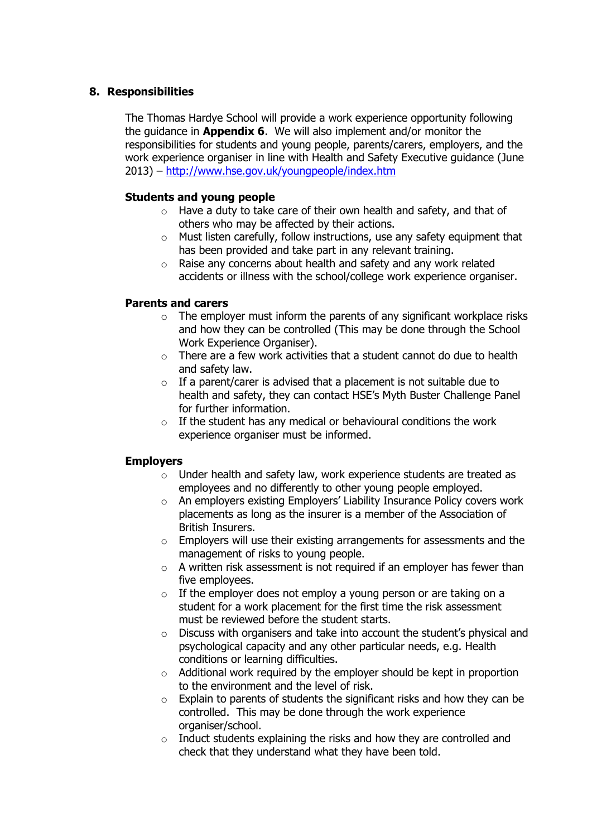#### **8. Responsibilities**

The Thomas Hardye School will provide a work experience opportunity following the guidance in **Appendix 6**. We will also implement and/or monitor the responsibilities for students and young people, parents/carers, employers, and the work experience organiser in line with Health and Safety Executive guidance (June 2013) – <http://www.hse.gov.uk/youngpeople/index.htm>

#### **Students and young people**

- o Have a duty to take care of their own health and safety, and that of others who may be affected by their actions.
- $\circ$  Must listen carefully, follow instructions, use any safety equipment that has been provided and take part in any relevant training.
- o Raise any concerns about health and safety and any work related accidents or illness with the school/college work experience organiser.

#### **Parents and carers**

- $\circ$  The employer must inform the parents of any significant workplace risks and how they can be controlled (This may be done through the School Work Experience Organiser).
- o There are a few work activities that a student cannot do due to health and safety law.
- $\circ$  If a parent/carer is advised that a placement is not suitable due to health and safety, they can contact HSE's Myth Buster Challenge Panel for further information.
- $\circ$  If the student has any medical or behavioural conditions the work experience organiser must be informed.

#### **Employers**

- o Under health and safety law, work experience students are treated as employees and no differently to other young people employed.
- o An employers existing Employers' Liability Insurance Policy covers work placements as long as the insurer is a member of the Association of British Insurers.
- $\circ$  Employers will use their existing arrangements for assessments and the management of risks to young people.
- o A written risk assessment is not required if an employer has fewer than five employees.
- $\circ$  If the employer does not employ a young person or are taking on a student for a work placement for the first time the risk assessment must be reviewed before the student starts.
- $\circ$  Discuss with organisers and take into account the student's physical and psychological capacity and any other particular needs, e.g. Health conditions or learning difficulties.
- o Additional work required by the employer should be kept in proportion to the environment and the level of risk.
- $\circ$  Explain to parents of students the significant risks and how they can be controlled. This may be done through the work experience organiser/school.
- $\circ$  Induct students explaining the risks and how they are controlled and check that they understand what they have been told.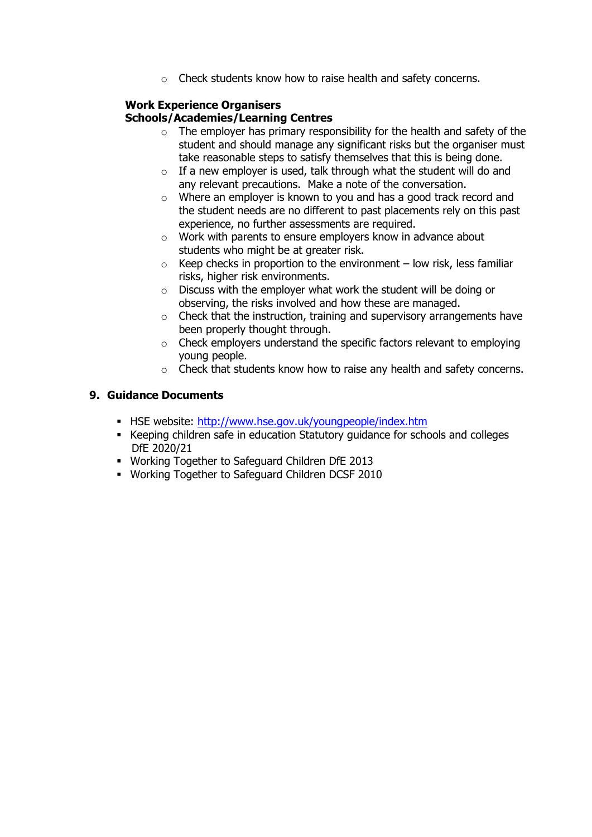o Check students know how to raise health and safety concerns.

# **Work Experience Organisers**

#### **Schools/Academies/Learning Centres**

- $\circ$  The employer has primary responsibility for the health and safety of the student and should manage any significant risks but the organiser must take reasonable steps to satisfy themselves that this is being done.
- $\circ$  If a new employer is used, talk through what the student will do and any relevant precautions. Make a note of the conversation.
- o Where an employer is known to you and has a good track record and the student needs are no different to past placements rely on this past experience, no further assessments are required.
- o Work with parents to ensure employers know in advance about students who might be at greater risk.
- $\circ$  Keep checks in proportion to the environment low risk, less familiar risks, higher risk environments.
- o Discuss with the employer what work the student will be doing or observing, the risks involved and how these are managed.
- $\circ$  Check that the instruction, training and supervisory arrangements have been properly thought through.
- o Check employers understand the specific factors relevant to employing young people.
- o Check that students know how to raise any health and safety concerns.

#### **9. Guidance Documents**

- HSE website:<http://www.hse.gov.uk/youngpeople/index.htm>
- Keeping children safe in education Statutory guidance for schools and colleges DfE 2020/21
- Working Together to Safeguard Children DfE 2013
- Working Together to Safeguard Children DCSF 2010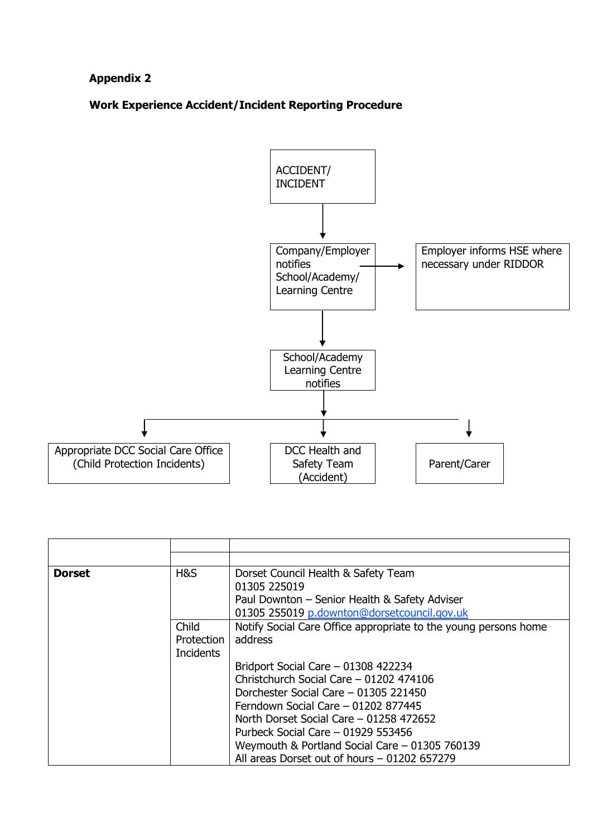**Work Experience Accident/Incident Reporting Procedure**



| <b>Dorset</b> | H&S              | Dorset Council Health & Safety Team                             |  |  |  |  |
|---------------|------------------|-----------------------------------------------------------------|--|--|--|--|
|               |                  | 01305 225019                                                    |  |  |  |  |
|               |                  | Paul Downton - Senior Health & Safety Adviser                   |  |  |  |  |
|               |                  | 01305 255019 p.downton@dorsetcouncil.gov.uk                     |  |  |  |  |
| Child         |                  | Notify Social Care Office appropriate to the young persons home |  |  |  |  |
|               | Protection       | address                                                         |  |  |  |  |
|               | <b>Incidents</b> |                                                                 |  |  |  |  |
|               |                  | Bridport Social Care - 01308 422234                             |  |  |  |  |
|               |                  | Christchurch Social Care - 01202 474106                         |  |  |  |  |
|               |                  | Dorchester Social Care - 01305 221450                           |  |  |  |  |
|               |                  | Ferndown Social Care - 01202 877445                             |  |  |  |  |
|               |                  | North Dorset Social Care - 01258 472652                         |  |  |  |  |
|               |                  | Purbeck Social Care - 01929 553456                              |  |  |  |  |
|               |                  | Weymouth & Portland Social Care - 01305 760139                  |  |  |  |  |
|               |                  | All areas Dorset out of hours - 01202 657279                    |  |  |  |  |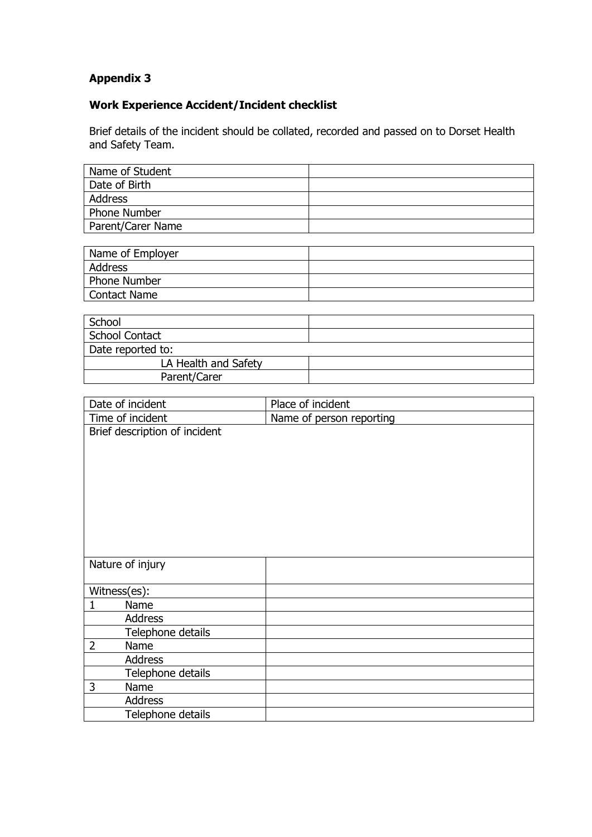## **Work Experience Accident/Incident checklist**

Brief details of the incident should be collated, recorded and passed on to Dorset Health and Safety Team.

| Name of Student   |  |
|-------------------|--|
| Date of Birth     |  |
| Address           |  |
| Phone Number      |  |
| Parent/Carer Name |  |
|                   |  |
| Name of Employer  |  |

| Name of Employer |  |
|------------------|--|
| Address          |  |
| Phone Number     |  |
| Contact Name     |  |
|                  |  |

| School                |  |
|-----------------------|--|
| <b>School Contact</b> |  |
| Date reported to:     |  |
| LA Health and Safety  |  |
| Parent/Carer          |  |

| Date of incident              | Place of incident        |
|-------------------------------|--------------------------|
| Time of incident              | Name of person reporting |
| Brief description of incident |                          |
|                               |                          |
|                               |                          |
|                               |                          |
|                               |                          |
|                               |                          |
|                               |                          |
|                               |                          |
|                               |                          |
| Nature of injury              |                          |
|                               |                          |
| Witness(es):                  |                          |
| 1<br>Name                     |                          |
| <b>Address</b>                |                          |
| Telephone details             |                          |
| $\overline{2}$<br>Name        |                          |
| <b>Address</b>                |                          |
| Telephone details             |                          |
| 3<br>Name                     |                          |
| Address                       |                          |
| Telephone details             |                          |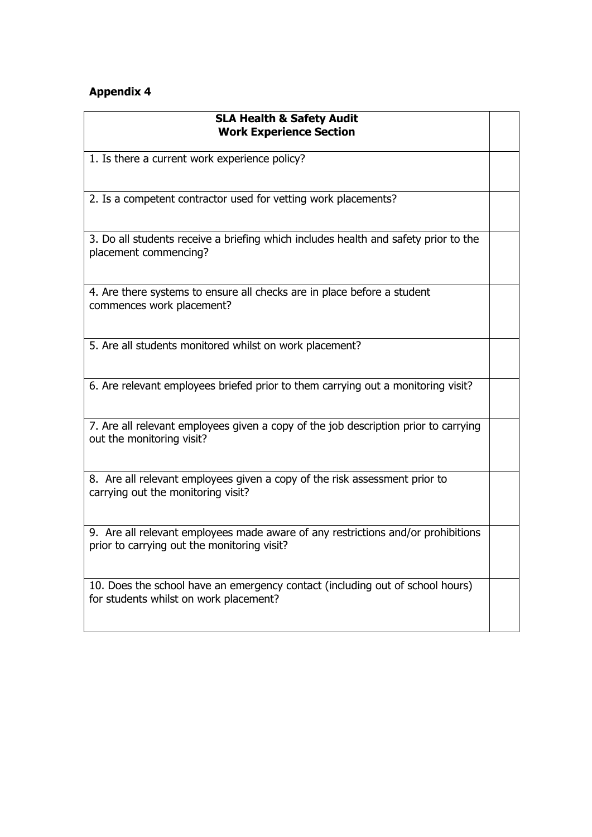| <b>SLA Health &amp; Safety Audit</b><br><b>Work Experience Section</b>                                                          |  |
|---------------------------------------------------------------------------------------------------------------------------------|--|
| 1. Is there a current work experience policy?                                                                                   |  |
| 2. Is a competent contractor used for vetting work placements?                                                                  |  |
| 3. Do all students receive a briefing which includes health and safety prior to the<br>placement commencing?                    |  |
| 4. Are there systems to ensure all checks are in place before a student<br>commences work placement?                            |  |
| 5. Are all students monitored whilst on work placement?                                                                         |  |
| 6. Are relevant employees briefed prior to them carrying out a monitoring visit?                                                |  |
| 7. Are all relevant employees given a copy of the job description prior to carrying<br>out the monitoring visit?                |  |
| 8. Are all relevant employees given a copy of the risk assessment prior to<br>carrying out the monitoring visit?                |  |
| 9. Are all relevant employees made aware of any restrictions and/or prohibitions<br>prior to carrying out the monitoring visit? |  |
| 10. Does the school have an emergency contact (including out of school hours)<br>for students whilst on work placement?         |  |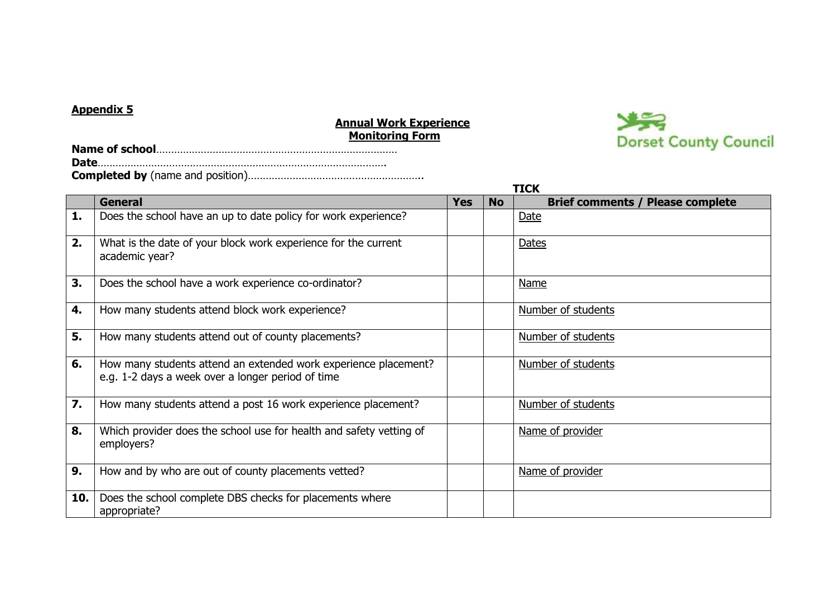#### **Annual Work Experience Monitoring Form**



|     |                                                                                                                      |            |           | <b>TICK</b>                             |
|-----|----------------------------------------------------------------------------------------------------------------------|------------|-----------|-----------------------------------------|
|     | General                                                                                                              | <b>Yes</b> | <b>No</b> | <b>Brief comments / Please complete</b> |
| 1.  | Does the school have an up to date policy for work experience?                                                       |            |           | Date                                    |
| 2.  | What is the date of your block work experience for the current<br>academic year?                                     |            |           | Dates                                   |
| 3.  | Does the school have a work experience co-ordinator?                                                                 |            |           | Name                                    |
| 4.  | How many students attend block work experience?                                                                      |            |           | Number of students                      |
| 5.  | How many students attend out of county placements?                                                                   |            |           | Number of students                      |
| 6.  | How many students attend an extended work experience placement?<br>e.g. 1-2 days a week over a longer period of time |            |           | Number of students                      |
| 7.  | How many students attend a post 16 work experience placement?                                                        |            |           | Number of students                      |
| 8.  | Which provider does the school use for health and safety vetting of<br>employers?                                    |            |           | Name of provider                        |
| 9.  | How and by who are out of county placements vetted?                                                                  |            |           | Name of provider                        |
| 10. | Does the school complete DBS checks for placements where<br>appropriate?                                             |            |           |                                         |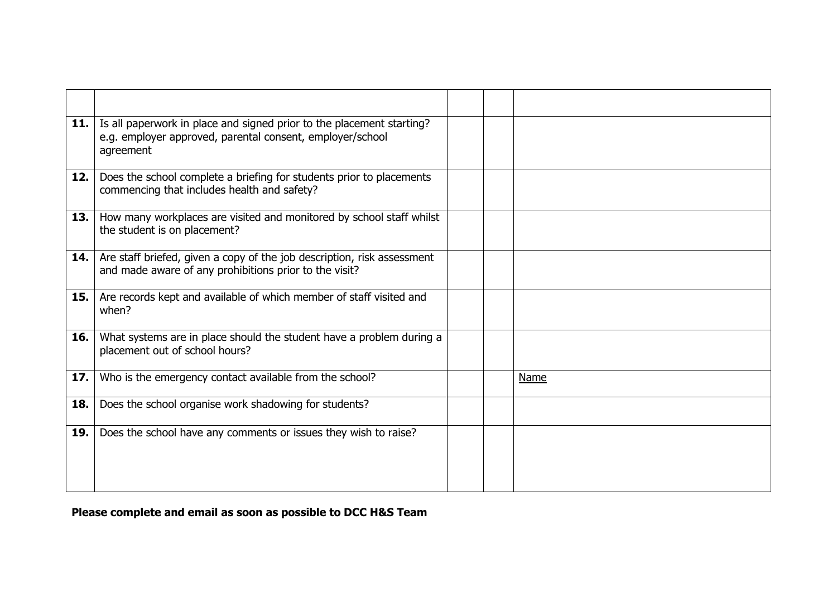| 11. | Is all paperwork in place and signed prior to the placement starting?<br>e.g. employer approved, parental consent, employer/school<br>agreement |  |      |
|-----|-------------------------------------------------------------------------------------------------------------------------------------------------|--|------|
| 12. | Does the school complete a briefing for students prior to placements<br>commencing that includes health and safety?                             |  |      |
| 13. | How many workplaces are visited and monitored by school staff whilst<br>the student is on placement?                                            |  |      |
| 14. | Are staff briefed, given a copy of the job description, risk assessment<br>and made aware of any prohibitions prior to the visit?               |  |      |
| 15. | Are records kept and available of which member of staff visited and<br>when?                                                                    |  |      |
| 16. | What systems are in place should the student have a problem during a<br>placement out of school hours?                                          |  |      |
| 17. | Who is the emergency contact available from the school?                                                                                         |  | Name |
| 18. | Does the school organise work shadowing for students?                                                                                           |  |      |
| 19. | Does the school have any comments or issues they wish to raise?                                                                                 |  |      |

**Please complete and email as soon as possible to DCC H&S Team**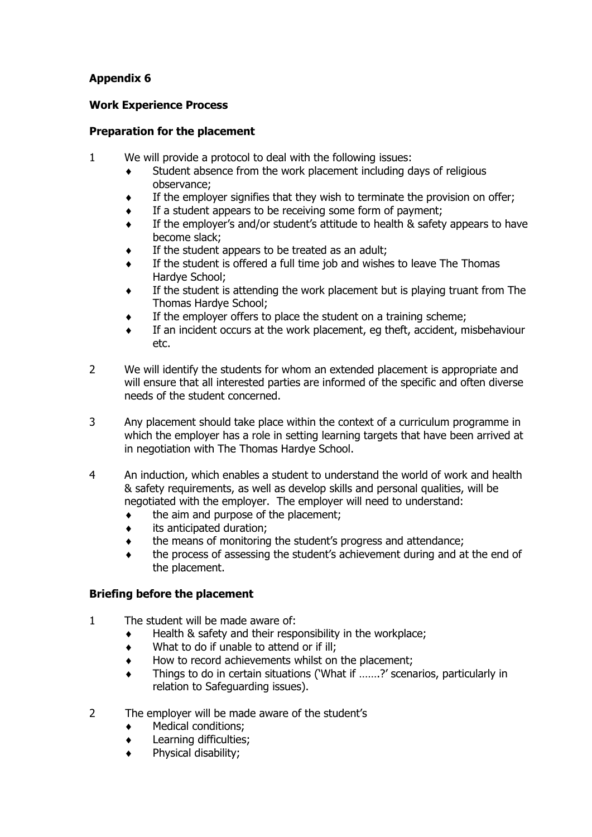### **Work Experience Process**

#### **Preparation for the placement**

- 1 We will provide a protocol to deal with the following issues:
	- Student absence from the work placement including days of religious observance;
	- If the employer signifies that they wish to terminate the provision on offer;
	- If a student appears to be receiving some form of payment;
	- If the employer's and/or student's attitude to health & safety appears to have become slack;
	- If the student appears to be treated as an adult;
	- If the student is offered a full time job and wishes to leave The Thomas Hardye School;
	- If the student is attending the work placement but is playing truant from The Thomas Hardye School;
	- If the employer offers to place the student on a training scheme;
	- If an incident occurs at the work placement, eg theft, accident, misbehaviour etc.
- 2 We will identify the students for whom an extended placement is appropriate and will ensure that all interested parties are informed of the specific and often diverse needs of the student concerned.
- 3 Any placement should take place within the context of a curriculum programme in which the employer has a role in setting learning targets that have been arrived at in negotiation with The Thomas Hardye School.
- 4 An induction, which enables a student to understand the world of work and health & safety requirements, as well as develop skills and personal qualities, will be negotiated with the employer. The employer will need to understand:
	- $\bullet$  the aim and purpose of the placement;
	- its anticipated duration;
	- the means of monitoring the student's progress and attendance;
	- the process of assessing the student's achievement during and at the end of the placement.

#### **Briefing before the placement**

- 1 The student will be made aware of:
	- $\bullet$  Health & safety and their responsibility in the workplace;
	- What to do if unable to attend or if ill;
	- $\bullet$  How to record achievements whilst on the placement;
	- Things to do in certain situations ('What if …….?' scenarios, particularly in relation to Safeguarding issues).
- 2 The employer will be made aware of the student's
	- Medical conditions;
	- Learning difficulties;
	- Physical disability;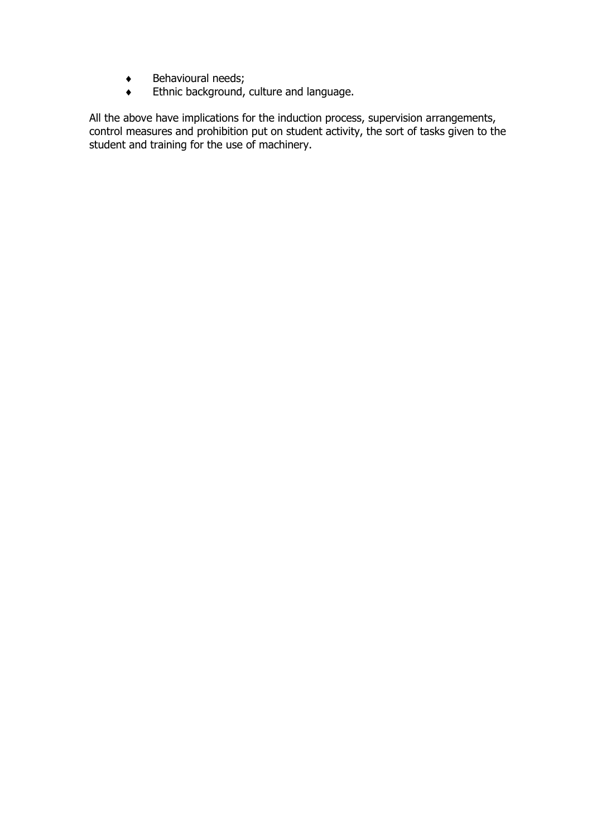- ◆ Behavioural needs;
- Ethnic background, culture and language.

All the above have implications for the induction process, supervision arrangements, control measures and prohibition put on student activity, the sort of tasks given to the student and training for the use of machinery.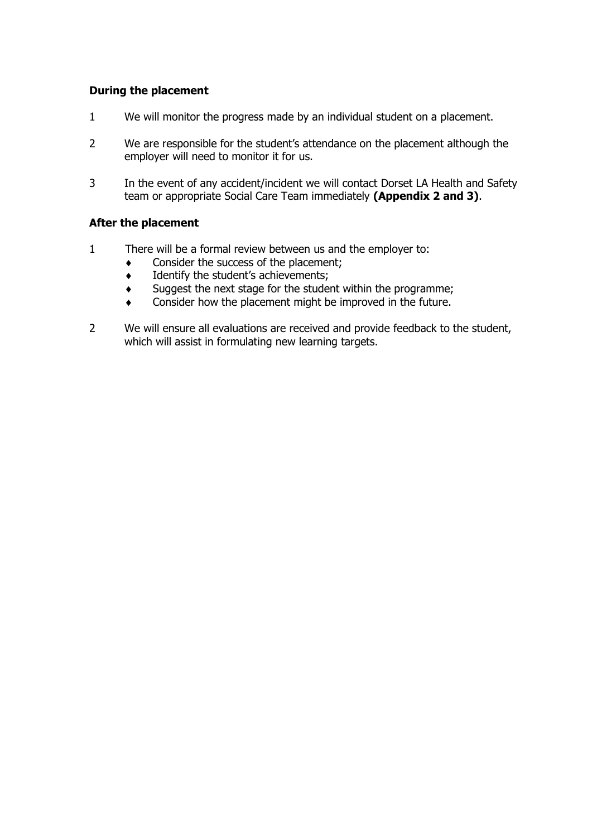#### **During the placement**

- 1 We will monitor the progress made by an individual student on a placement.
- 2 We are responsible for the student's attendance on the placement although the employer will need to monitor it for us.
- 3 In the event of any accident/incident we will contact Dorset LA Health and Safety team or appropriate Social Care Team immediately **(Appendix 2 and 3)**.

#### **After the placement**

- 1 There will be a formal review between us and the employer to:
	- **Consider the success of the placement;**
	- $\bullet$  Identify the student's achievements;
	- $\bullet$  Suggest the next stage for the student within the programme;
	- Consider how the placement might be improved in the future.
- 2 We will ensure all evaluations are received and provide feedback to the student, which will assist in formulating new learning targets.